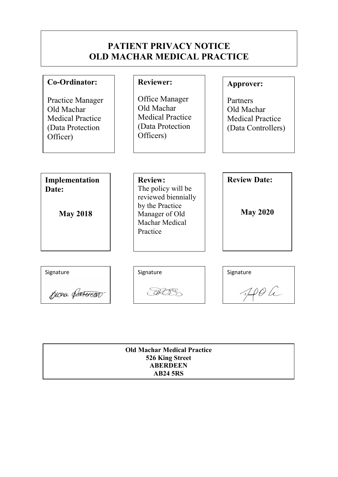# PATIENT PRIVACY NOTICE OLD MACHAR MEDICAL PRACTICE

| Co-Ordinator:<br>Practice Manager<br>Old Machar<br><b>Medical Practice</b><br>(Data Protection<br>Officer) | <b>Reviewer:</b><br>Office Manager<br>Old Machar<br><b>Medical Practice</b><br>(Data Protection<br>Officers)                   | Approver:<br>Partners<br>Old Machar<br><b>Medical Practice</b><br>(Data Controllers) |
|------------------------------------------------------------------------------------------------------------|--------------------------------------------------------------------------------------------------------------------------------|--------------------------------------------------------------------------------------|
| Implementation<br>Date:<br><b>May 2018</b>                                                                 | <b>Review:</b><br>The policy will be<br>reviewed biennially<br>by the Practice<br>Manager of Old<br>Machar Medical<br>Practice | <b>Review Date:</b><br><b>May 2020</b>                                               |
| Signature<br>Giona State                                                                                   | Signature                                                                                                                      | Signature<br>$\sqrt{1}$ and $\theta$                                                 |

| <b>Old Machar Medical Practice</b> |  |
|------------------------------------|--|
| 526 King Street                    |  |
| <b>ABERDEEN</b>                    |  |
| <b>AB24 5RS</b>                    |  |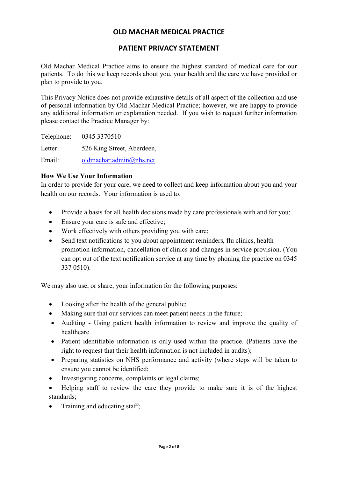## PATIENT PRIVACY STATEMENT

Old Machar Medical Practice aims to ensure the highest standard of medical care for our patients. To do this we keep records about you, your health and the care we have provided or plan to provide to you.

This Privacy Notice does not provide exhaustive details of all aspect of the collection and use of personal information by Old Machar Medical Practice; however, we are happy to provide any additional information or explanation needed. If you wish to request further information please contact the Practice Manager by:

Telephone: 0345 3370510 Letter: 526 King Street, Aberdeen, Email: oldmachar.admin@nhs.net

#### How We Use Your Information

In order to provide for your care, we need to collect and keep information about you and your health on our records. Your information is used to:

- Provide a basis for all health decisions made by care professionals with and for you;
- Ensure your care is safe and effective;
- Work effectively with others providing you with care;
- Send text notifications to you about appointment reminders, flu clinics, health promotion information, cancellation of clinics and changes in service provision. (You can opt out of the text notification service at any time by phoning the practice on 0345 337 0510).

We may also use, or share, your information for the following purposes:

- Looking after the health of the general public;
- Making sure that our services can meet patient needs in the future:
- Auditing Using patient health information to review and improve the quality of healthcare.
- Patient identifiable information is only used within the practice. (Patients have the right to request that their health information is not included in audits);
- Preparing statistics on NHS performance and activity (where steps will be taken to ensure you cannot be identified;
- Investigating concerns, complaints or legal claims;
- Helping staff to review the care they provide to make sure it is of the highest standards;
- Training and educating staff;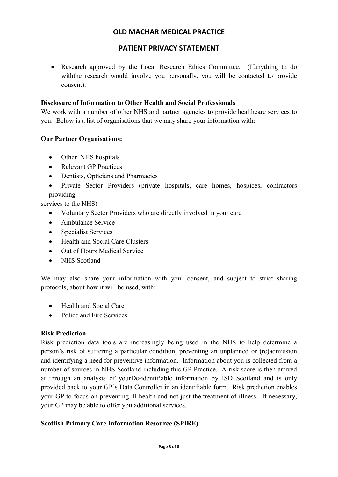# PATIENT PRIVACY STATEMENT

• Research approved by the Local Research Ethics Committee. (Ifanything to do withthe research would involve you personally, you will be contacted to provide consent).

### Disclosure of Information to Other Health and Social Professionals

We work with a number of other NHS and partner agencies to provide healthcare services to you. Below is a list of organisations that we may share your information with:

### **Our Partner Organisations:**

- Other NHS hospitals
- Relevant GP Practices
- Dentists, Opticians and Pharmacies
- Private Sector Providers (private hospitals, care homes, hospices, contractors providing

services to the NHS)

- Voluntary Sector Providers who are directly involved in your care
- Ambulance Service
- Specialist Services
- Health and Social Care Clusters
- Out of Hours Medical Service
- NHS Scotland

We may also share your information with your consent, and subject to strict sharing protocols, about how it will be used, with:

- Health and Social Care
- Police and Fire Services

### Risk Prediction

Risk prediction data tools are increasingly being used in the NHS to help determine a person's risk of suffering a particular condition, preventing an unplanned or (re)admission and identifying a need for preventive information. Information about you is collected from a number of sources in NHS Scotland including this GP Practice. A risk score is then arrived at through an analysis of yourDe-identifiable information by ISD Scotland and is only provided back to your GP's Data Controller in an identifiable form. Risk prediction enables your GP to focus on preventing ill health and not just the treatment of illness. If necessary, your GP may be able to offer you additional services.

### Scottish Primary Care Information Resource (SPIRE)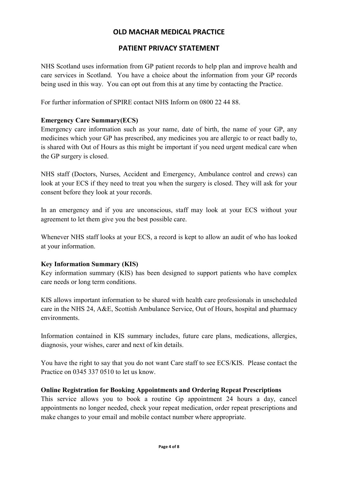# PATIENT PRIVACY STATEMENT

NHS Scotland uses information from GP patient records to help plan and improve health and care services in Scotland. You have a choice about the information from your GP records being used in this way. You can opt out from this at any time by contacting the Practice.

For further information of SPIRE contact NHS Inform on 0800 22 44 88.

### Emergency Care Summary(ECS)

Emergency care information such as your name, date of birth, the name of your GP, any medicines which your GP has prescribed, any medicines you are allergic to or react badly to, is shared with Out of Hours as this might be important if you need urgent medical care when the GP surgery is closed.

NHS staff (Doctors, Nurses, Accident and Emergency, Ambulance control and crews) can look at your ECS if they need to treat you when the surgery is closed. They will ask for your consent before they look at your records.

In an emergency and if you are unconscious, staff may look at your ECS without your agreement to let them give you the best possible care.

Whenever NHS staff looks at your ECS, a record is kept to allow an audit of who has looked at your information.

### Key Information Summary (KIS)

Key information summary (KIS) has been designed to support patients who have complex care needs or long term conditions.

KIS allows important information to be shared with health care professionals in unscheduled care in the NHS 24, A&E, Scottish Ambulance Service, Out of Hours, hospital and pharmacy environments.

Information contained in KIS summary includes, future care plans, medications, allergies, diagnosis, your wishes, carer and next of kin details.

You have the right to say that you do not want Care staff to see ECS/KIS. Please contact the Practice on 0345 337 0510 to let us know.

### Online Registration for Booking Appointments and Ordering Repeat Prescriptions

This service allows you to book a routine Gp appointment 24 hours a day, cancel appointments no longer needed, check your repeat medication, order repeat prescriptions and make changes to your email and mobile contact number where appropriate.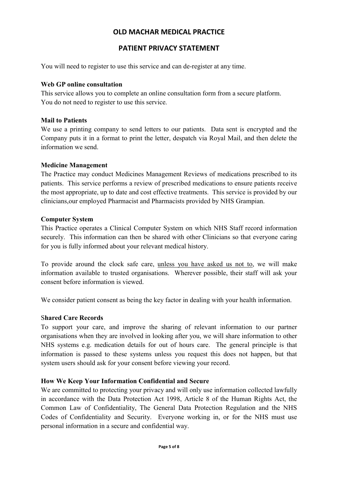# PATIENT PRIVACY STATEMENT

You will need to register to use this service and can de-register at any time.

#### Web GP online consultation

This service allows you to complete an online consultation form from a secure platform. You do not need to register to use this service.

#### Mail to Patients

We use a printing company to send letters to our patients. Data sent is encrypted and the Company puts it in a format to print the letter, despatch via Royal Mail, and then delete the information we send.

#### Medicine Management

The Practice may conduct Medicines Management Reviews of medications prescribed to its patients. This service performs a review of prescribed medications to ensure patients receive the most appropriate, up to date and cost effective treatments. This service is provided by our clinicians,our employed Pharmacist and Pharmacists provided by NHS Grampian.

#### Computer System

This Practice operates a Clinical Computer System on which NHS Staff record information securely. This information can then be shared with other Clinicians so that everyone caring for you is fully informed about your relevant medical history.

To provide around the clock safe care, unless you have asked us not to, we will make information available to trusted organisations. Wherever possible, their staff will ask your consent before information is viewed.

We consider patient consent as being the key factor in dealing with your health information.

### Shared Care Records

To support your care, and improve the sharing of relevant information to our partner organisations when they are involved in looking after you, we will share information to other NHS systems e.g. medication details for out of hours care. The general principle is that information is passed to these systems unless you request this does not happen, but that system users should ask for your consent before viewing your record.

### How We Keep Your Information Confidential and Secure

We are committed to protecting your privacy and will only use information collected lawfully in accordance with the Data Protection Act 1998, Article 8 of the Human Rights Act, the Common Law of Confidentiality, The General Data Protection Regulation and the NHS Codes of Confidentiality and Security. Everyone working in, or for the NHS must use personal information in a secure and confidential way.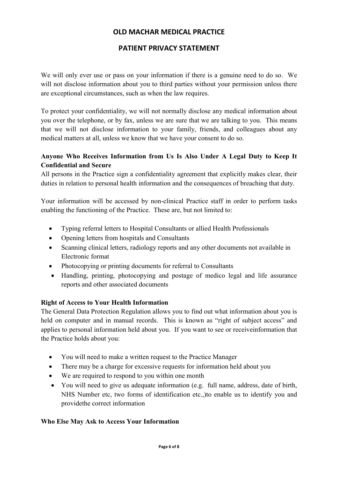# PATIENT PRIVACY STATEMENT

We will only ever use or pass on your information if there is a genuine need to do so. We will not disclose information about you to third parties without your permission unless there are exceptional circumstances, such as when the law requires.

To protect your confidentiality, we will not normally disclose any medical information about you over the telephone, or by fax, unless we are sure that we are talking to you. This means that we will not disclose information to your family, friends, and colleagues about any medical matters at all, unless we know that we have your consent to do so.

# Anyone Who Receives Information from Us Is Also Under A Legal Duty to Keep It Confidential and Secure

All persons in the Practice sign a confidentiality agreement that explicitly makes clear, their duties in relation to personal health information and the consequences of breaching that duty.

Your information will be accessed by non-clinical Practice staff in order to perform tasks enabling the functioning of the Practice. These are, but not limited to:

- Typing referral letters to Hospital Consultants or allied Health Professionals
- Opening letters from hospitals and Consultants
- Scanning clinical letters, radiology reports and any other documents not available in Electronic format
- Photocopying or printing documents for referral to Consultants
- Handling, printing, photocopying and postage of medico legal and life assurance reports and other associated documents

# Right of Access to Your Health Information

The General Data Protection Regulation allows you to find out what information about you is held on computer and in manual records. This is known as "right of subject access" and applies to personal information held about you. If you want to see or receiveinformation that the Practice holds about you:

- You will need to make a written request to the Practice Manager
- There may be a charge for excessive requests for information held about you
- We are required to respond to you within one month
- You will need to give us adequate information (e.g. full name, address, date of birth, NHS Number etc, two forms of identification etc.,)to enable us to identify you and providethe correct information

### Who Else May Ask to Access Your Information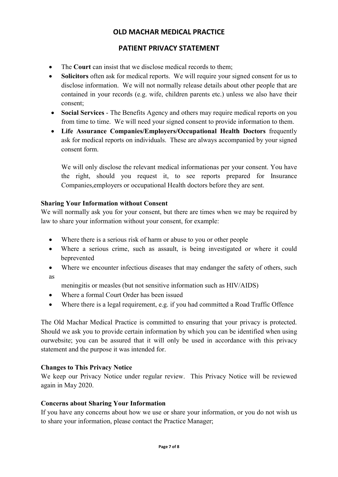# PATIENT PRIVACY STATEMENT

- The Court can insist that we disclose medical records to them:
- Solicitors often ask for medical reports. We will require your signed consent for us to disclose information. We will not normally release details about other people that are contained in your records (e.g. wife, children parents etc.) unless we also have their consent;
- Social Services The Benefits Agency and others may require medical reports on you from time to time. We will need your signed consent to provide information to them.
- Life Assurance Companies/Employers/Occupational Health Doctors frequently ask for medical reports on individuals. These are always accompanied by your signed consent form.

We will only disclose the relevant medical informationas per your consent. You have the right, should you request it, to see reports prepared for Insurance Companies,employers or occupational Health doctors before they are sent.

### Sharing Your Information without Consent

We will normally ask you for your consent, but there are times when we may be required by law to share your information without your consent, for example:

- Where there is a serious risk of harm or abuse to you or other people
- Where a serious crime, such as assault, is being investigated or where it could beprevented
- Where we encounter infectious diseases that may endanger the safety of others, such as

meningitis or measles (but not sensitive information such as HIV/AIDS)

- Where a formal Court Order has been issued
- Where there is a legal requirement, e.g. if you had committed a Road Traffic Offence

The Old Machar Medical Practice is committed to ensuring that your privacy is protected. Should we ask you to provide certain information by which you can be identified when using ourwebsite; you can be assured that it will only be used in accordance with this privacy statement and the purpose it was intended for.

### Changes to This Privacy Notice

We keep our Privacy Notice under regular review. This Privacy Notice will be reviewed again in May 2020.

### Concerns about Sharing Your Information

If you have any concerns about how we use or share your information, or you do not wish us to share your information, please contact the Practice Manager;